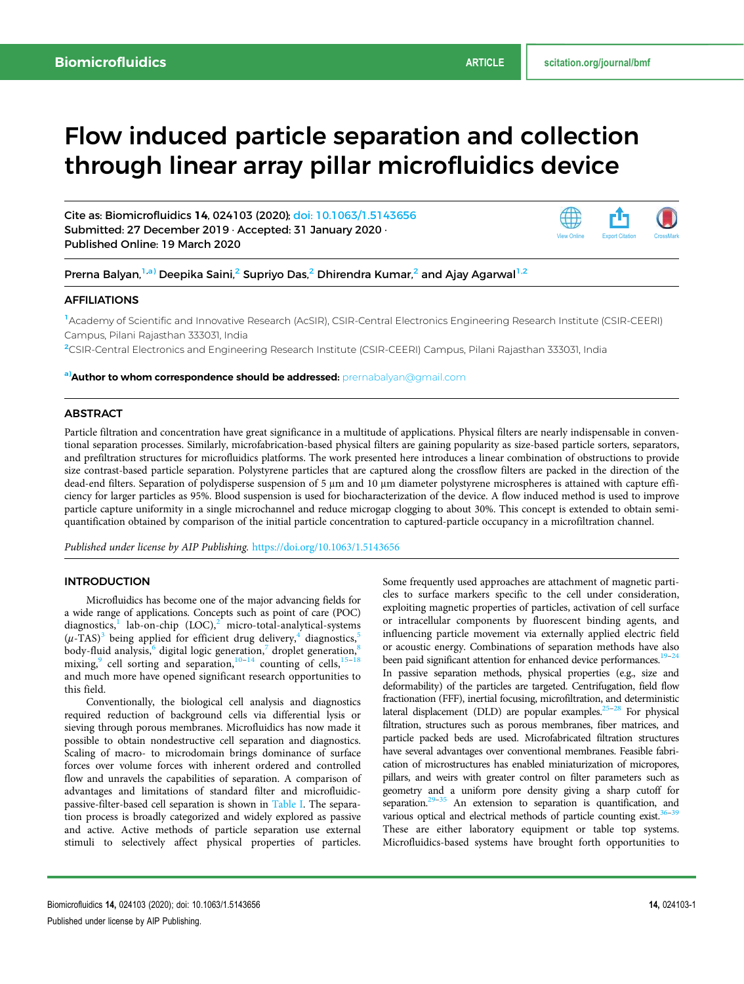# Flow induced particle separation and collection through linear array pillar microfluidics device

Cite as: Biomicrofluidics 14, 024103 (2020); doi: 10.1063/1.5143656 Submitted: 27 December 2019 · Accepted: 31 January 2020 · Published Online: 19 March 2020



## Prerna Balyan,<sup>1,a)</sup> Deepika Saini,<sup>2</sup> Supriyo Das,<sup>2</sup> Dhirendra Kumar,<sup>2</sup> and Ajay Agarwal<sup>1,2</sup>

#### AFFILIATIONS

<sup>1</sup>Academy of Scientific and Innovative Research (AcSIR), CSIR-Central Electronics Engineering Research Institute (CSIR-CEERI) Campus, Pilani Rajasthan 333031, India

<sup>2</sup>CSIR-Central Electronics and Engineering Research Institute (CSIR-CEERI) Campus, Pilani Rajasthan 333031, India

a)**Author to whom correspondence should be addressed:** prernabalyan@gmail.com

## **ABSTRACT**

Particle filtration and concentration have great significance in a multitude of applications. Physical filters are nearly indispensable in conventional separation processes. Similarly, microfabrication-based physical filters are gaining popularity as size-based particle sorters, separators, and prefiltration structures for microfluidics platforms. The work presented here introduces a linear combination of obstructions to provide size contrast-based particle separation. Polystyrene particles that are captured along the crossflow filters are packed in the direction of the dead-end filters. Separation of polydisperse suspension of 5 μm and 10 μm diameter polystyrene microspheres is attained with capture efficiency for larger particles as 95%. Blood suspension is used for biocharacterization of the device. A flow induced method is used to improve particle capture uniformity in a single microchannel and reduce microgap clogging to about 30%. This concept is extended to obtain semiquantification obtained by comparison of the initial particle concentration to captured-particle occupancy in a microfiltration channel.

*Published under license by AIP Publishing.* https://doi.org/10.1063/1.5143656

## INTRODUCTION

Microfluidics has become one of the major advancing fields for a wide range of applications. Concepts such as point of care (POC) diagnostics,<sup>1</sup> lab-on-chip  ${(LOC)}$ ,<sup>2</sup> micro-total-analytical-systems  $(\mu$ -TAS)<sup>3</sup> being applied for efficient drug delivery,<sup>4</sup> diagnostics,<sup>5</sup> body-fluid analysis,<sup>6</sup> digital logic generation,<sup>7</sup> droplet generation,<sup>8</sup> mixing, ell sorting and separation, $10^{-14}$  counting of cells,  $15^{-18}$ and much more have opened significant research opportunities to this field.

Conventionally, the biological cell analysis and diagnostics required reduction of background cells via differential lysis or sieving through porous membranes. Microfluidics has now made it possible to obtain nondestructive cell separation and diagnostics. Scaling of macro- to microdomain brings dominance of surface forces over volume forces with inherent ordered and controlled flow and unravels the capabilities of separation. A comparison of advantages and limitations of standard filter and microfluidicpassive-filter-based cell separation is shown in Table I. The separation process is broadly categorized and widely explored as passive and active. Active methods of particle separation use external stimuli to selectively affect physical properties of particles.

Some frequently used approaches are attachment of magnetic particles to surface markers specific to the cell under consideration, exploiting magnetic properties of particles, activation of cell surface or intracellular components by fluorescent binding agents, and influencing particle movement via externally applied electric field or acoustic energy. Combinations of separation methods have also been paid significant attention for enhanced device performances.<sup>19–24</sup> In passive separation methods, physical properties (e.g., size and deformability) of the particles are targeted. Centrifugation, field flow fractionation (FFF), inertial focusing, microfiltration, and deterministic lateral displacement (DLD) are popular examples. $25-28$  For physical filtration, structures such as porous membranes, fiber matrices, and particle packed beds are used. Microfabricated filtration structures have several advantages over conventional membranes. Feasible fabrication of microstructures has enabled miniaturization of micropores, pillars, and weirs with greater control on filter parameters such as geometry and a uniform pore density giving a sharp cutoff for separation. $29-35$  An extension to separation is quantification, and various optical and electrical methods of particle counting exist.<sup>36</sup> These are either laboratory equipment or table top systems. Microfluidics-based systems have brought forth opportunities to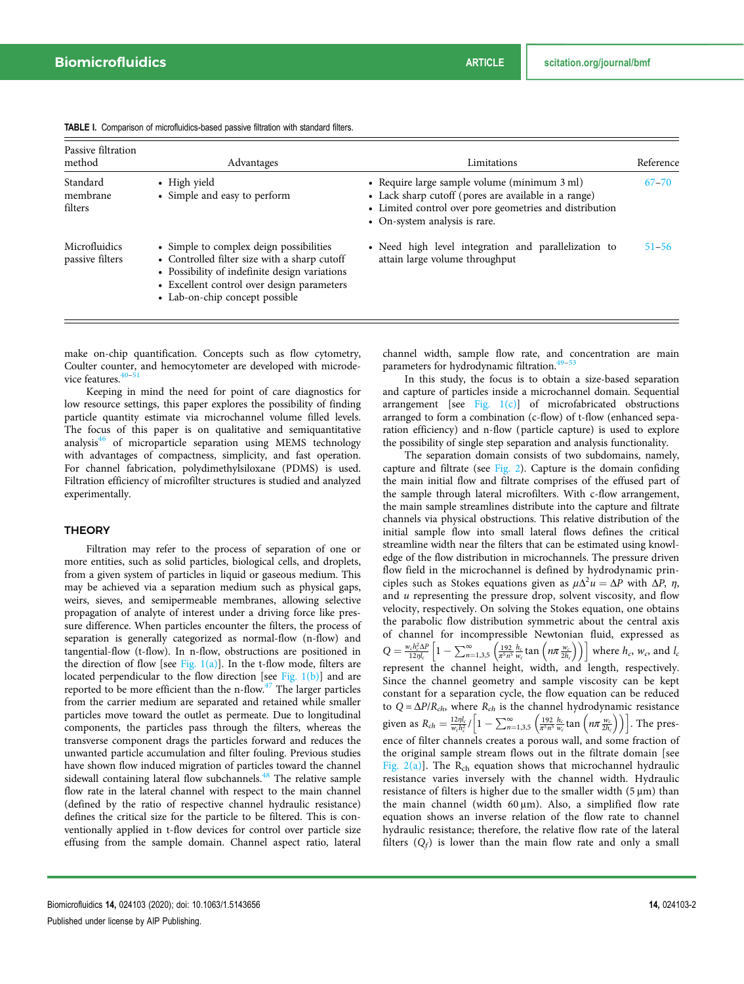| Passive filtration<br>method     | Advantages                                                                                                                                                                                                               | Limitations                                                                                                                                                                                      | Reference |
|----------------------------------|--------------------------------------------------------------------------------------------------------------------------------------------------------------------------------------------------------------------------|--------------------------------------------------------------------------------------------------------------------------------------------------------------------------------------------------|-----------|
| Standard<br>membrane<br>filters  | • High yield<br>• Simple and easy to perform                                                                                                                                                                             | • Require large sample volume (minimum 3 ml)<br>• Lack sharp cutoff (pores are available in a range)<br>• Limited control over pore geometries and distribution<br>• On-system analysis is rare. | $67 - 70$ |
| Microfluidics<br>passive filters | • Simple to complex deign possibilities<br>• Controlled filter size with a sharp cutoff<br>• Possibility of indefinite design variations<br>• Excellent control over design parameters<br>• Lab-on-chip concept possible | • Need high level integration and parallelization to<br>attain large volume throughput                                                                                                           | $51 - 56$ |

TABLE I. Comparison of microfluidics-based passive filtration with standard filters.

make on-chip quantification. Concepts such as flow cytometry, Coulter counter, and hemocytometer are developed with microdevice features.

Keeping in mind the need for point of care diagnostics for low resource settings, this paper explores the possibility of finding particle quantity estimate via microchannel volume filled levels. The focus of this paper is on qualitative and semiquantitative analysis $46$  of microparticle separation using MEMS technology with advantages of compactness, simplicity, and fast operation. For channel fabrication, polydimethylsiloxane (PDMS) is used. Filtration efficiency of microfilter structures is studied and analyzed experimentally.

#### **THEORY**

Filtration may refer to the process of separation of one or more entities, such as solid particles, biological cells, and droplets, from a given system of particles in liquid or gaseous medium. This may be achieved via a separation medium such as physical gaps, weirs, sieves, and semipermeable membranes, allowing selective propagation of analyte of interest under a driving force like pressure difference. When particles encounter the filters, the process of separation is generally categorized as normal-flow (n-flow) and tangential-flow (t-flow). In n-flow, obstructions are positioned in the direction of flow [see Fig.  $1(a)$ ]. In the t-flow mode, filters are located perpendicular to the flow direction [see Fig.  $1(b)$ ] and are reported to be more efficient than the  $n$ -flow.<sup>47</sup> The larger particles from the carrier medium are separated and retained while smaller particles move toward the outlet as permeate. Due to longitudinal components, the particles pass through the filters, whereas the transverse component drags the particles forward and reduces the unwanted particle accumulation and filter fouling. Previous studies have shown flow induced migration of particles toward the channel sidewall containing lateral flow subchannels.<sup>48</sup> The relative sample flow rate in the lateral channel with respect to the main channel (defined by the ratio of respective channel hydraulic resistance) defines the critical size for the particle to be filtered. This is conventionally applied in t-flow devices for control over particle size effusing from the sample domain. Channel aspect ratio, lateral channel width, sample flow rate, and concentration are main parameters for hydrodynamic filtration.<sup>4</sup>

In this study, the focus is to obtain a size-based separation and capture of particles inside a microchannel domain. Sequential arrangement [see Fig.  $1(c)$ ] of microfabricated obstructions arranged to form a combination (c-flow) of t-flow (enhanced separation efficiency) and n-flow ( particle capture) is used to explore the possibility of single step separation and analysis functionality.

The separation domain consists of two subdomains, namely, capture and filtrate (see Fig. 2). Capture is the domain confiding the main initial flow and filtrate comprises of the effused part of the sample through lateral microfilters. With c-flow arrangement, the main sample streamlines distribute into the capture and filtrate channels via physical obstructions. This relative distribution of the initial sample flow into small lateral flows defines the critical streamline width near the filters that can be estimated using knowledge of the flow distribution in microchannels. The pressure driven flow field in the microchannel is defined by hydrodynamic principles such as Stokes equations given as  $\mu \Delta^2 u = \Delta P$  with  $\Delta P$ ,  $\eta$ , and *u* representing the pressure drop, solvent viscosity, and flow velocity, respectively. On solving the Stokes equation, one obtains the parabolic flow distribution symmetric about the central axis of channel for incompressible Newtonian fluid, expressed as  $Q = \frac{w_c h_c^2 \Delta P}{12\eta l_c} \left[1 - \sum_{n=1,3,5}^{\infty} \left( \frac{192}{\pi^5 n^5} \frac{h_c}{w_c} \tan \left( n\pi \frac{w_c}{2h_c} \right) \right) \right]$  where  $h_c$ ,  $w_c$ , and  $l_c$ represent the channel height, width, and length, respectively. Since the channel geometry and sample viscosity can be kept constant for a separation cycle, the flow equation can be reduced to  $Q = \Delta P/R_{ch}$ , where  $R_{ch}$  is the channel hydrodynamic resistance given as  $R_{ch} = \frac{12\eta l_c}{w_c h_c^2} / \Big[1 - \sum_{n=1,3,5}^{\infty} \Big(\frac{192}{\pi^5 n^5} \frac{h_c}{w_c} \tan\Big(n\pi \frac{w_c}{2h_c}\Big)\Big)\Big]$ . The presence of filter channels creates a porous wall, and some fraction of the original sample stream flows out in the filtrate domain [see Fig.  $2(a)$ ]. The R<sub>ch</sub> equation shows that microchannel hydraulic resistance varies inversely with the channel width. Hydraulic resistance of filters is higher due to the smaller width (5 μm) than the main channel (width  $60 \,\mu m$ ). Also, a simplified flow rate equation shows an inverse relation of the flow rate to channel hydraulic resistance; therefore, the relative flow rate of the lateral filters  $(Q_f)$  is lower than the main flow rate and only a small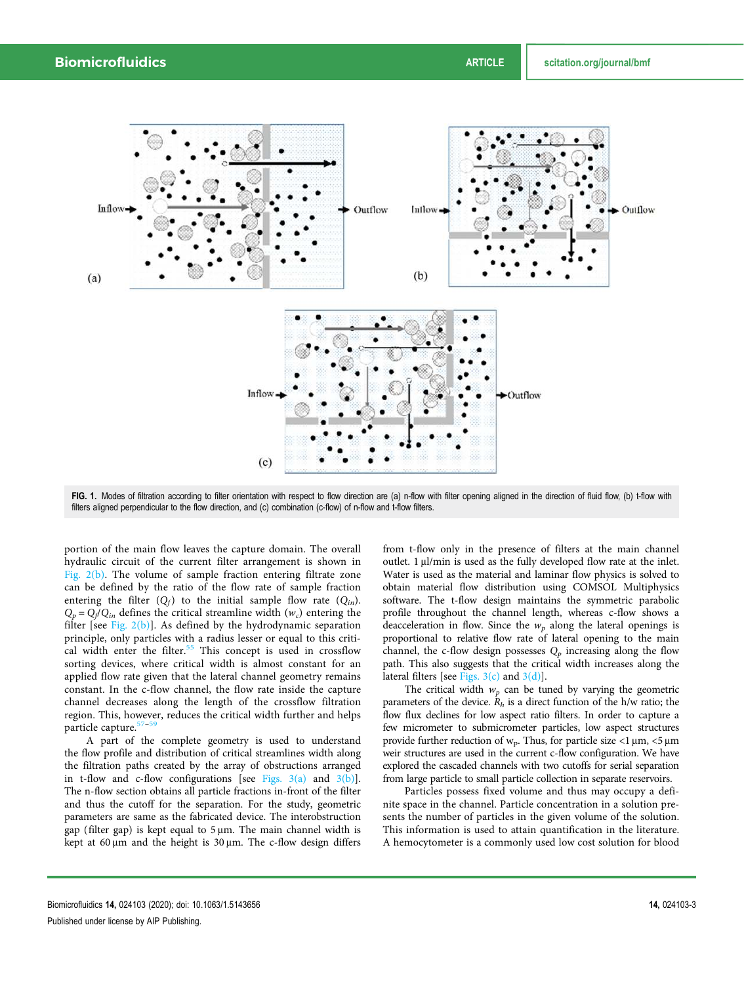

FIG. 1. Modes of filtration according to filter orientation with respect to flow direction are (a) n-flow with filter opening aligned in the direction of fluid flow, (b) t-flow with filters aligned perpendicular to the flow direction, and (c) combination (c-flow) of n-flow and t-flow filters.

portion of the main flow leaves the capture domain. The overall hydraulic circuit of the current filter arrangement is shown in Fig. 2(b). The volume of sample fraction entering filtrate zone can be defined by the ratio of the flow rate of sample fraction entering the filter  $(Q_f)$  to the initial sample flow rate  $(Q_{in})$ .  $Q_p = Q_f/Q_{in}$  defines the critical streamline width  $(w_c)$  entering the filter [see Fig.  $2(b)$ ]. As defined by the hydrodynamic separation principle, only particles with a radius lesser or equal to this critical width enter the filter.<sup>55</sup> This concept is used in crossflow sorting devices, where critical width is almost constant for an applied flow rate given that the lateral channel geometry remains constant. In the c-flow channel, the flow rate inside the capture channel decreases along the length of the crossflow filtration region. This, however, reduces the critical width further and helps particle capture.

A part of the complete geometry is used to understand the flow profile and distribution of critical streamlines width along the filtration paths created by the array of obstructions arranged in t-flow and c-flow configurations [see Figs.  $3(a)$  and  $3(b)$ ]. The n-flow section obtains all particle fractions in-front of the filter and thus the cutoff for the separation. For the study, geometric parameters are same as the fabricated device. The interobstruction gap (filter gap) is kept equal to 5 μm. The main channel width is kept at 60 μm and the height is 30 μm. The c-flow design differs from t-flow only in the presence of filters at the main channel outlet. 1 μl/min is used as the fully developed flow rate at the inlet. Water is used as the material and laminar flow physics is solved to obtain material flow distribution using COMSOL Multiphysics software. The t-flow design maintains the symmetric parabolic profile throughout the channel length, whereas c-flow shows a deacceleration in flow. Since the *w<sup>p</sup>* along the lateral openings is proportional to relative flow rate of lateral opening to the main channel, the c-flow design possesses  $Q_p$  increasing along the flow path. This also suggests that the critical width increases along the lateral filters [see Figs.  $3(c)$  and  $3(d)$ ].

The critical width  $w_p$  can be tuned by varying the geometric parameters of the device.  $R_h$  is a direct function of the h/w ratio; the flow flux declines for low aspect ratio filters. In order to capture a few micrometer to submicrometer particles, low aspect structures provide further reduction of  $w_p$ . Thus, for particle size <1  $\mu$ m, <5  $\mu$ m weir structures are used in the current c-flow configuration. We have explored the cascaded channels with two cutoffs for serial separation from large particle to small particle collection in separate reservoirs.

Particles possess fixed volume and thus may occupy a definite space in the channel. Particle concentration in a solution presents the number of particles in the given volume of the solution. This information is used to attain quantification in the literature. A hemocytometer is a commonly used low cost solution for blood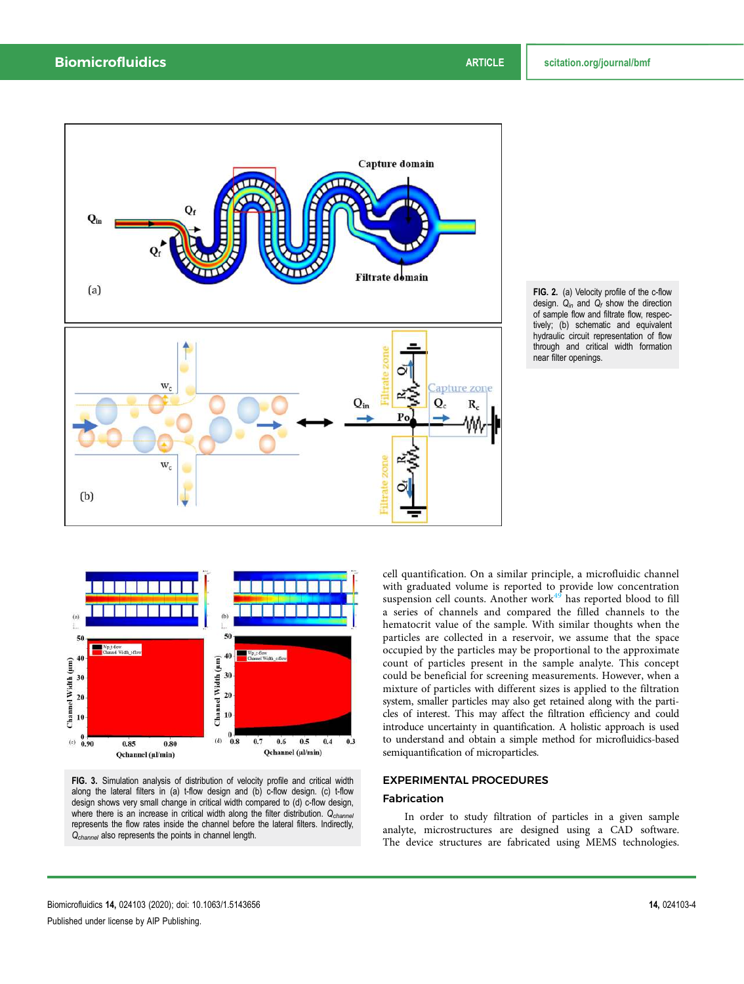





FIG. 3. Simulation analysis of distribution of velocity profile and critical width along the lateral filters in (a) t-flow design and (b) c-flow design. (c) t-flow design shows very small change in critical width compared to (d) c-flow design, where there is an increase in critical width along the filter distribution.  $Q_{channel}$ represents the flow rates inside the channel before the lateral filters. Indirectly, Q<sub>channel</sub> also represents the points in channel length.

cell quantification. On a similar principle, a microfluidic channel with graduated volume is reported to provide low concentration suspension cell counts. Another work $49$  has reported blood to fill a series of channels and compared the filled channels to the hematocrit value of the sample. With similar thoughts when the particles are collected in a reservoir, we assume that the space occupied by the particles may be proportional to the approximate count of particles present in the sample analyte. This concept could be beneficial for screening measurements. However, when a mixture of particles with different sizes is applied to the filtration system, smaller particles may also get retained along with the particles of interest. This may affect the filtration efficiency and could introduce uncertainty in quantification. A holistic approach is used to understand and obtain a simple method for microfluidics*-*based semiquantification of microparticles*.*

#### EXPERIMENTAL PROCEDURES

## Fabrication

In order to study filtration of particles in a given sample analyte, microstructures are designed using a CAD software. The device structures are fabricated using MEMS technologies.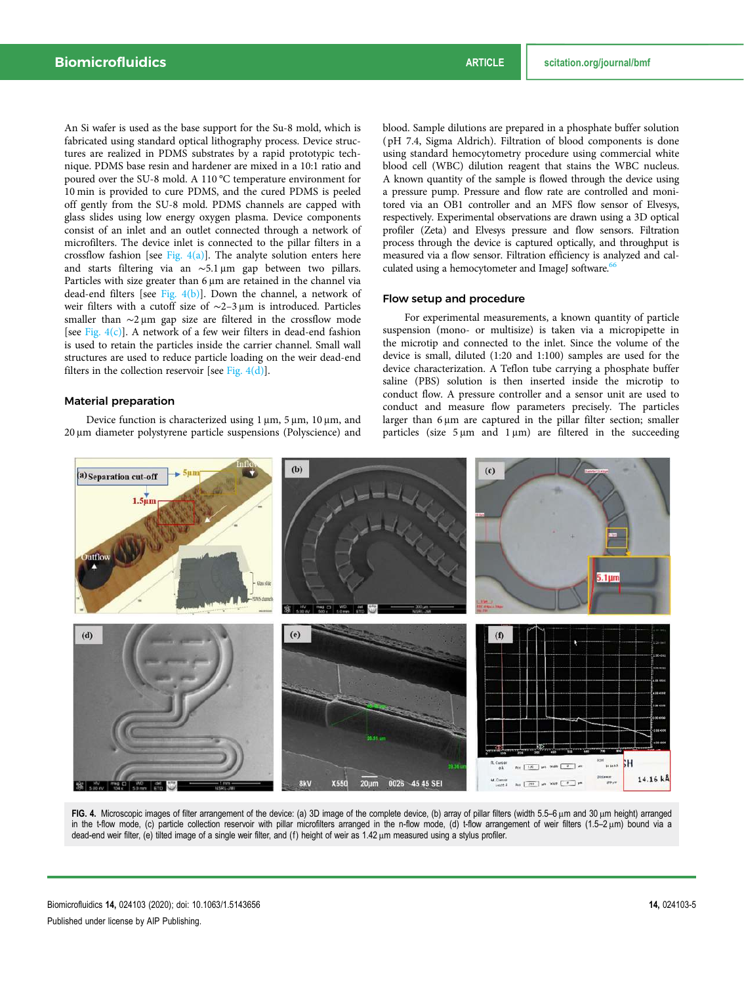An Si wafer is used as the base support for the Su-8 mold, which is fabricated using standard optical lithography process. Device structures are realized in PDMS substrates by a rapid prototypic technique. PDMS base resin and hardener are mixed in a 10:1 ratio and poured over the SU-8 mold. A 110 °C temperature environment for 10 min is provided to cure PDMS, and the cured PDMS is peeled off gently from the SU-8 mold. PDMS channels are capped with glass slides using low energy oxygen plasma. Device components consist of an inlet and an outlet connected through a network of microfilters. The device inlet is connected to the pillar filters in a crossflow fashion [see Fig.  $4(a)$ ]. The analyte solution enters here and starts filtering via an ∼5.1 μm gap between two pillars. Particles with size greater than 6 μm are retained in the channel via dead-end filters [see Fig.  $4(b)$ ]. Down the channel, a network of weir filters with a cutoff size of ∼2–3 μm is introduced. Particles smaller than ∼2 μm gap size are filtered in the crossflow mode [see Fig.  $4(c)$ ]. A network of a few weir filters in dead-end fashion is used to retain the particles inside the carrier channel. Small wall structures are used to reduce particle loading on the weir dead-end filters in the collection reservoir [see Fig.  $4(d)$ ].

#### Material preparation

Device function is characterized using 1 μm, 5 μm, 10 μm, and 20 μm diameter polystyrene particle suspensions (Polyscience) and blood. Sample dilutions are prepared in a phosphate buffer solution ( pH 7.4, Sigma Aldrich). Filtration of blood components is done using standard hemocytometry procedure using commercial white blood cell (WBC) dilution reagent that stains the WBC nucleus. A known quantity of the sample is flowed through the device using a pressure pump. Pressure and flow rate are controlled and monitored via an OB1 controller and an MFS flow sensor of Elvesys, respectively. Experimental observations are drawn using a 3D optical profiler (Zeta) and Elvesys pressure and flow sensors. Filtration process through the device is captured optically, and throughput is measured via a flow sensor. Filtration efficiency is analyzed and calculated using a hemocytometer and ImageJ software.<sup>66</sup>

#### Flow setup and procedure

For experimental measurements, a known quantity of particle suspension (mono- or multisize) is taken via a micropipette in the microtip and connected to the inlet. Since the volume of the device is small, diluted (1:20 and 1:100) samples are used for the device characterization. A Teflon tube carrying a phosphate buffer saline (PBS) solution is then inserted inside the microtip to conduct flow. A pressure controller and a sensor unit are used to conduct and measure flow parameters precisely. The particles larger than 6 μm are captured in the pillar filter section; smaller particles (size 5 μm and 1 μm) are filtered in the succeeding



FIG. 4. Microscopic images of filter arrangement of the device: (a) 3D image of the complete device, (b) array of pillar filters (width 5.5–6 μm and 30 μm height) arranged in the t-flow mode, (c) particle collection reservoir with pillar microfilters arranged in the n-flow mode, (d) t-flow arrangement of weir filters (1.5–2 μm) bound via a dead-end weir filter, (e) tilted image of a single weir filter, and (f) height of weir as 1.42 μm measured using a stylus profiler.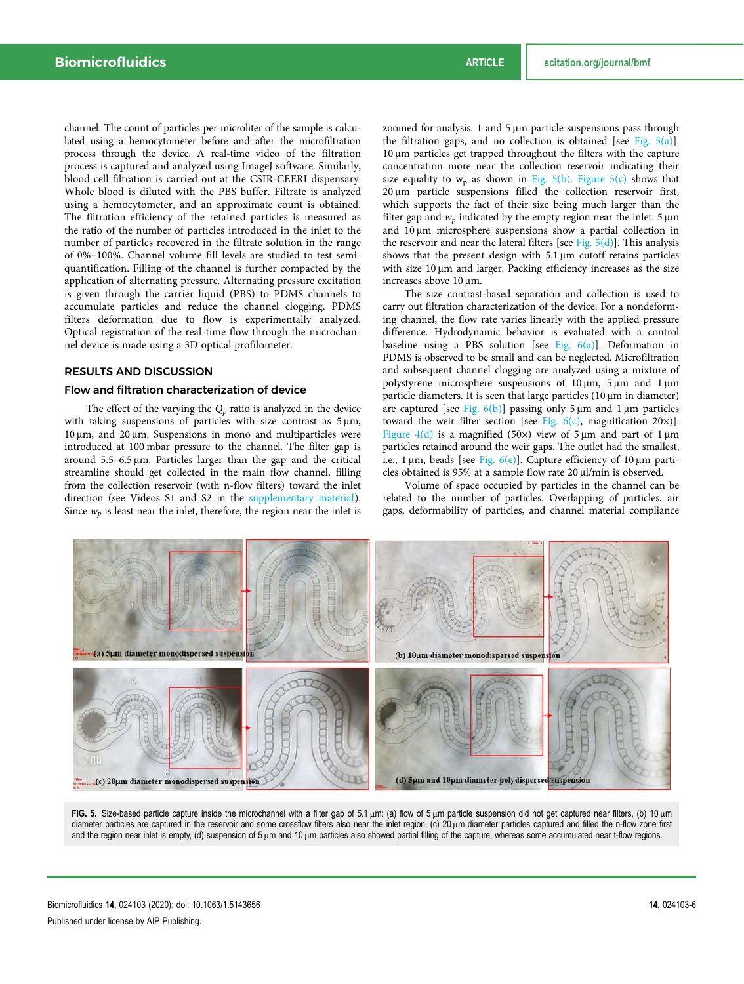channel. The count of particles per microliter of the sample is calculated using a hemocytometer before and after the microfiltration process through the device. A real-time video of the filtration process is captured and analyzed using ImageJ software. Similarly, blood cell filtration is carried out at the CSIR-CEERI dispensary. Whole blood is diluted with the PBS buffer. Filtrate is analyzed using a hemocytometer, and an approximate count is obtained. The filtration efficiency of the retained particles is measured as the ratio of the number of particles introduced in the inlet to the number of particles recovered in the filtrate solution in the range of 0%–100%. Channel volume fill levels are studied to test semiquantification. Filling of the channel is further compacted by the application of alternating pressure. Alternating pressure excitation is given through the carrier liquid (PBS) to PDMS channels to accumulate particles and reduce the channel clogging. PDMS filters deformation due to flow is experimentally analyzed. Optical registration of the real-time flow through the microchannel device is made using a 3D optical profilometer.

## RESULTS AND DISCUSSION

#### Flow and filtration characterization of device

The effect of the varying the *Q<sup>p</sup>* ratio is analyzed in the device with taking suspensions of particles with size contrast as 5 μm, 10 μm, and 20 μm. Suspensions in mono and multiparticles were introduced at 100 mbar pressure to the channel. The filter gap is around 5.5–6.5 μm. Particles larger than the gap and the critical streamline should get collected in the main flow channel, filling from the collection reservoir (with n-flow filters) toward the inlet direction (see Videos S1 and S2 in the supplementary material). Since  $w_p$  is least near the inlet, therefore, the region near the inlet is zoomed for analysis. 1 and 5 μm particle suspensions pass through the filtration gaps, and no collection is obtained [see Fig.  $5(a)$ ]. 10 μm particles get trapped throughout the filters with the capture concentration more near the collection reservoir indicating their size equality to  $w_p$  as shown in Fig. 5(b). Figure 5(c) shows that 20 μm particle suspensions filled the collection reservoir first, which supports the fact of their size being much larger than the filter gap and  $w_p$  indicated by the empty region near the inlet.  $5 \mu m$ and 10 μm microsphere suspensions show a partial collection in the reservoir and near the lateral filters [see Fig.  $5(d)$ ]. This analysis shows that the present design with 5.1 μm cutoff retains particles with size 10 μm and larger. Packing efficiency increases as the size increases above 10 μm.

The size contrast-based separation and collection is used to carry out filtration characterization of the device. For a nondeforming channel, the flow rate varies linearly with the applied pressure difference. Hydrodynamic behavior is evaluated with a control baseline using a PBS solution [see Fig.  $6(a)$ ]. Deformation in PDMS is observed to be small and can be neglected. Microfiltration and subsequent channel clogging are analyzed using a mixture of polystyrene microsphere suspensions of 10 μm, 5 μm and 1 μm particle diameters. It is seen that large particles (10 μm in diameter) are captured [see Fig.  $6(b)$ ] passing only 5  $\mu$ m and 1  $\mu$ m particles toward the weir filter section [see Fig. 6(c), magnification 20×)]. Figure 4(d) is a magnified (50×) view of 5  $\mu$ m and part of 1  $\mu$ m particles retained around the weir gaps. The outlet had the smallest, i.e., 1 μm, beads [see Fig.  $6(e)$ ]. Capture efficiency of 10 μm particles obtained is 95% at a sample flow rate 20 μl/min is observed.

Volume of space occupied by particles in the channel can be related to the number of particles. Overlapping of particles, air gaps, deformability of particles, and channel material compliance



FIG. 5. Size-based particle capture inside the microchannel with a filter gap of 5.1 μm: (a) flow of 5 μm particle suspension did not get captured near filters, (b) 10 μm diameter particles are captured in the reservoir and some crossflow filters also near the inlet region, (c) 20 μm diameter particles captured and filled the n-flow zone first and the region near inlet is empty, (d) suspension of 5 μm and 10 μm particles also showed partial filling of the capture, whereas some accumulated near t-flow regions.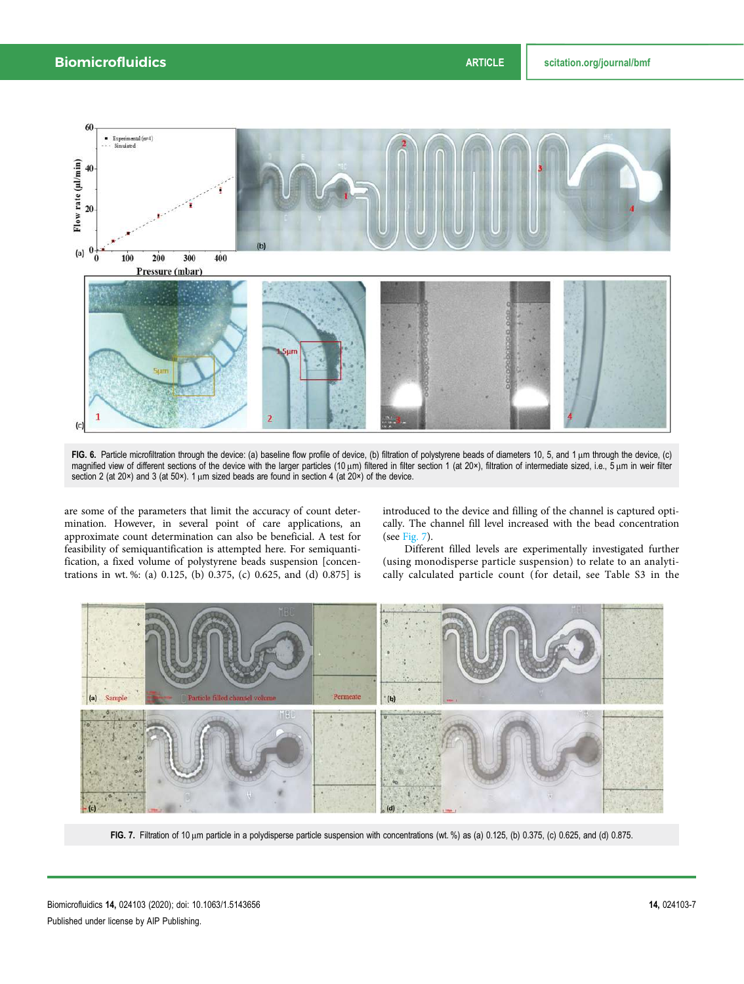

FIG. 6. Particle microfiltration through the device: (a) baseline flow profile of device, (b) filtration of polystyrene beads of diameters 10, 5, and 1 μm through the device, (c) magnified view of different sections of the device with the larger particles (10 μm) filtered in filter section 1 (at 20×), filtration of intermediate sized, i.e., 5 μm in weir filter section 2 (at 20×) and 3 (at 50×). 1 μm sized beads are found in section 4 (at 20×) of the device.

are some of the parameters that limit the accuracy of count determination. However, in several point of care applications, an approximate count determination can also be beneficial. A test for feasibility of semiquantification is attempted here. For semiquantification, a fixed volume of polystyrene beads suspension [concentrations in wt. %: (a) 0.125, (b) 0.375, (c) 0.625, and (d) 0.875] is introduced to the device and filling of the channel is captured optically. The channel fill level increased with the bead concentration (see Fig. 7).

Different filled levels are experimentally investigated further (using monodisperse particle suspension) to relate to an analytically calculated particle count (for detail, see Table S3 in the



FIG. 7. Filtration of 10 μm particle in a polydisperse particle suspension with concentrations (wt. %) as (a) 0.125, (b) 0.375, (c) 0.625, and (d) 0.875.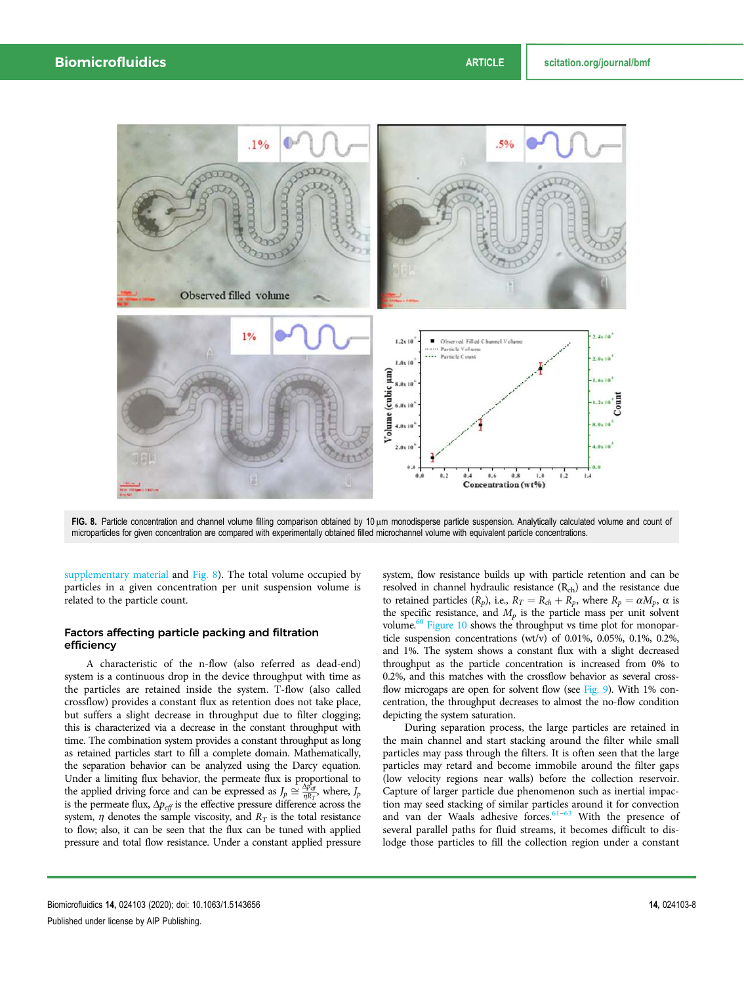

FIG. 8. Particle concentration and channel volume filling comparison obtained by 10 μm monodisperse particle suspension. Analytically calculated volume and count of microparticles for given concentration are compared with experimentally obtained filled microchannel volume with equivalent particle concentrations.

supplementary material and Fig. 8). The total volume occupied by particles in a given concentration per unit suspension volume is related to the particle count.

#### Factors affecting particle packing and filtration efficiency

A characteristic of the n-flow (also referred as dead-end) system is a continuous drop in the device throughput with time as the particles are retained inside the system. T-flow (also called crossflow) provides a constant flux as retention does not take place, but suffers a slight decrease in throughput due to filter clogging; this is characterized via a decrease in the constant throughput with time. The combination system provides a constant throughput as long as retained particles start to fill a complete domain. Mathematically, the separation behavior can be analyzed using the Darcy equation. Under a limiting flux behavior, the permeate flux is proportional to the applied driving force and can be expressed as  $J_p \cong \frac{\Delta p_{\text{eff}}}{\eta R_T}$ , where,  $J_p$ is the permeate flux, Δ*peff* is the effective pressure difference across the system,  $\eta$  denotes the sample viscosity, and  $R_T$  is the total resistance to flow; also, it can be seen that the flux can be tuned with applied pressure and total flow resistance. Under a constant applied pressure system, flow resistance builds up with particle retention and can be resolved in channel hydraulic resistance (Rch) and the resistance due to retained particles  $(R_p)$ , i.e.,  $R_T = R_{ch} + R_p$ , where  $R_p = \alpha M_p$ ,  $\alpha$  is the specific resistance, and  $M_p$  is the particle mass per unit solvent volume.<sup>60</sup> Figure 10 shows the throughput vs time plot for monoparticle suspension concentrations (wt/v) of 0.01%, 0.05%, 0.1%, 0.2%, and 1%. The system shows a constant flux with a slight decreased throughput as the particle concentration is increased from 0% to 0.2%, and this matches with the crossflow behavior as several crossflow microgaps are open for solvent flow (see Fig. 9). With 1% concentration, the throughput decreases to almost the no-flow condition depicting the system saturation.

During separation process, the large particles are retained in the main channel and start stacking around the filter while small particles may pass through the filters. It is often seen that the large particles may retard and become immobile around the filter gaps (low velocity regions near walls) before the collection reservoir. Capture of larger particle due phenomenon such as inertial impaction may seed stacking of similar particles around it for convection and van der Waals adhesive forces.<sup>61–63</sup> With the presence of several parallel paths for fluid streams, it becomes difficult to dislodge those particles to fill the collection region under a constant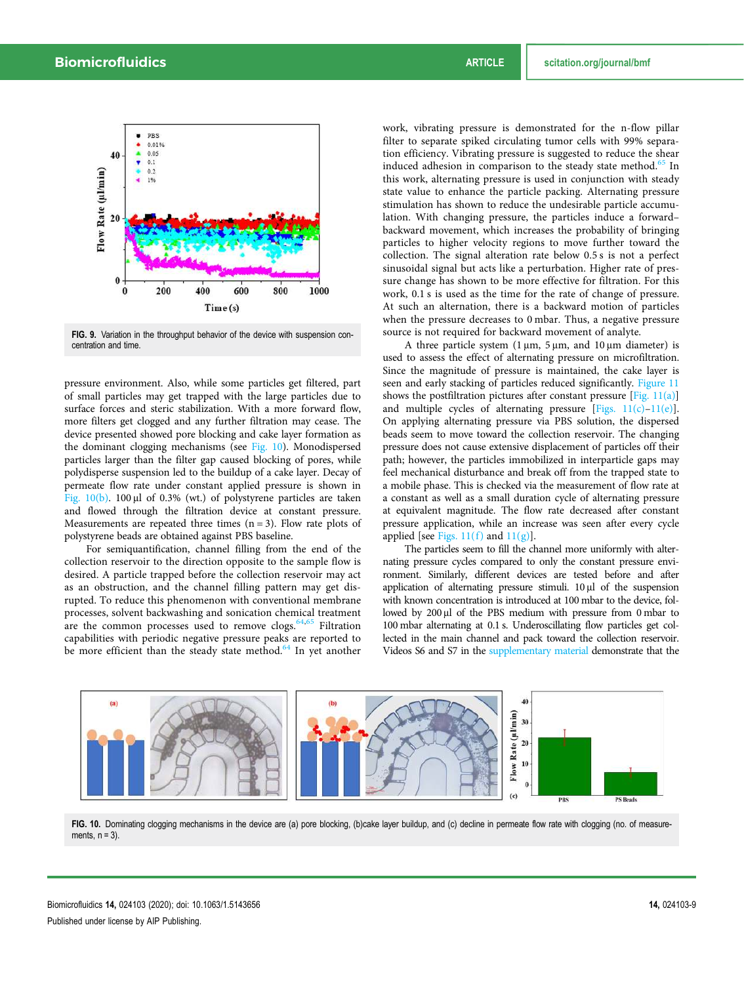

FIG. 9. Variation in the throughput behavior of the device with suspension concentration and time.

pressure environment. Also, while some particles get filtered, part of small particles may get trapped with the large particles due to surface forces and steric stabilization. With a more forward flow, more filters get clogged and any further filtration may cease. The device presented showed pore blocking and cake layer formation as the dominant clogging mechanisms (see Fig. 10). Monodispersed particles larger than the filter gap caused blocking of pores, while polydisperse suspension led to the buildup of a cake layer. Decay of permeate flow rate under constant applied pressure is shown in Fig. 10(b). 100 μl of 0.3% (wt.) of polystyrene particles are taken and flowed through the filtration device at constant pressure. Measurements are repeated three times  $(n = 3)$ . Flow rate plots of polystyrene beads are obtained against PBS baseline.

For semiquantification, channel filling from the end of the collection reservoir to the direction opposite to the sample flow is desired. A particle trapped before the collection reservoir may act as an obstruction, and the channel filling pattern may get disrupted. To reduce this phenomenon with conventional membrane processes, solvent backwashing and sonication chemical treatment are the common processes used to remove clogs.  $64,65$  Filtration capabilities with periodic negative pressure peaks are reported to be more efficient than the steady state method.<sup>64</sup> In yet another

work, vibrating pressure is demonstrated for the n-flow pillar filter to separate spiked circulating tumor cells with 99% separation efficiency. Vibrating pressure is suggested to reduce the shear induced adhesion in comparison to the steady state method.<sup>65</sup> In this work, alternating pressure is used in conjunction with steady state value to enhance the particle packing. Alternating pressure stimulation has shown to reduce the undesirable particle accumulation. With changing pressure, the particles induce a forward– backward movement, which increases the probability of bringing particles to higher velocity regions to move further toward the collection. The signal alteration rate below 0.5 s is not a perfect sinusoidal signal but acts like a perturbation. Higher rate of pressure change has shown to be more effective for filtration. For this work, 0.1 s is used as the time for the rate of change of pressure. At such an alternation, there is a backward motion of particles when the pressure decreases to 0 mbar. Thus, a negative pressure source is not required for backward movement of analyte.

A three particle system (1 μm, 5 μm, and 10 μm diameter) is used to assess the effect of alternating pressure on microfiltration. Since the magnitude of pressure is maintained, the cake layer is seen and early stacking of particles reduced significantly. Figure 11 shows the postfiltration pictures after constant pressure  $[Fig. 11(a)]$ and multiple cycles of alternating pressure [Figs.  $11(c) - 11(e)$ ]. On applying alternating pressure via PBS solution, the dispersed beads seem to move toward the collection reservoir. The changing pressure does not cause extensive displacement of particles off their path; however, the particles immobilized in interparticle gaps may feel mechanical disturbance and break off from the trapped state to a mobile phase. This is checked via the measurement of flow rate at a constant as well as a small duration cycle of alternating pressure at equivalent magnitude. The flow rate decreased after constant pressure application, while an increase was seen after every cycle applied [see Figs.  $11(f)$  and  $11(g)$ ].

The particles seem to fill the channel more uniformly with alternating pressure cycles compared to only the constant pressure environment. Similarly, different devices are tested before and after application of alternating pressure stimuli. 10 μl of the suspension with known concentration is introduced at 100 mbar to the device, followed by 200 μl of the PBS medium with pressure from 0 mbar to 100 mbar alternating at 0.1 s. Underoscillating flow particles get collected in the main channel and pack toward the collection reservoir. Videos S6 and S7 in the supplementary material demonstrate that the



FIG. 10. Dominating clogging mechanisms in the device are (a) pore blocking, (b)cake layer buildup, and (c) decline in permeate flow rate with clogging (no. of measurements,  $n = 3$ ).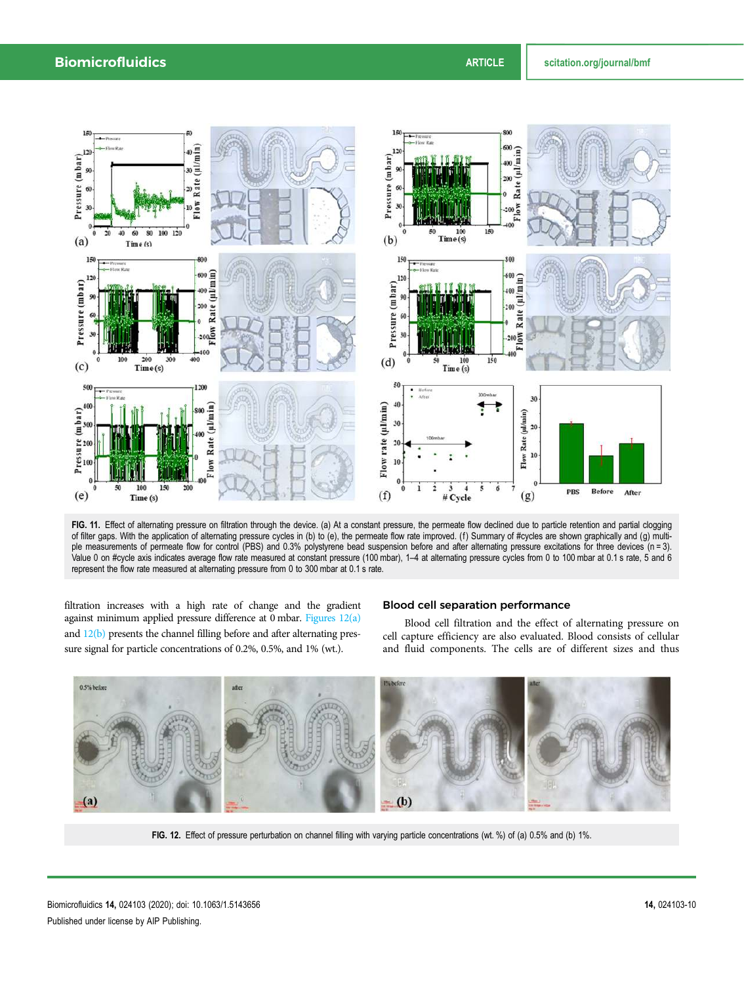

FIG. 11. Effect of alternating pressure on filtration through the device. (a) At a constant pressure, the permeate flow declined due to particle retention and partial clogging of filter gaps. With the application of alternating pressure cycles in (b) to (e), the permeate flow rate improved. (f) Summary of #cycles are shown graphically and (g) multiple measurements of permeate flow for control (PBS) and 0.3% polystyrene bead suspension before and after alternating pressure excitations for three devices (n = 3). Value 0 on #cycle axis indicates average flow rate measured at constant pressure (100 mbar), 1–4 at alternating pressure cycles from 0 to 100 mbar at 0.1 s rate, 5 and 6 represent the flow rate measured at alternating pressure from 0 to 300 mbar at 0.1 s rate.

filtration increases with a high rate of change and the gradient against minimum applied pressure difference at 0 mbar. Figures 12(a) and 12(b) presents the channel filling before and after alternating pressure signal for particle concentrations of 0.2%, 0.5%, and 1% (wt.).

### Blood cell separation performance

Blood cell filtration and the effect of alternating pressure on cell capture efficiency are also evaluated. Blood consists of cellular and fluid components. The cells are of different sizes and thus



FIG. 12. Effect of pressure perturbation on channel filling with varying particle concentrations (wt. %) of (a) 0.5% and (b) 1%.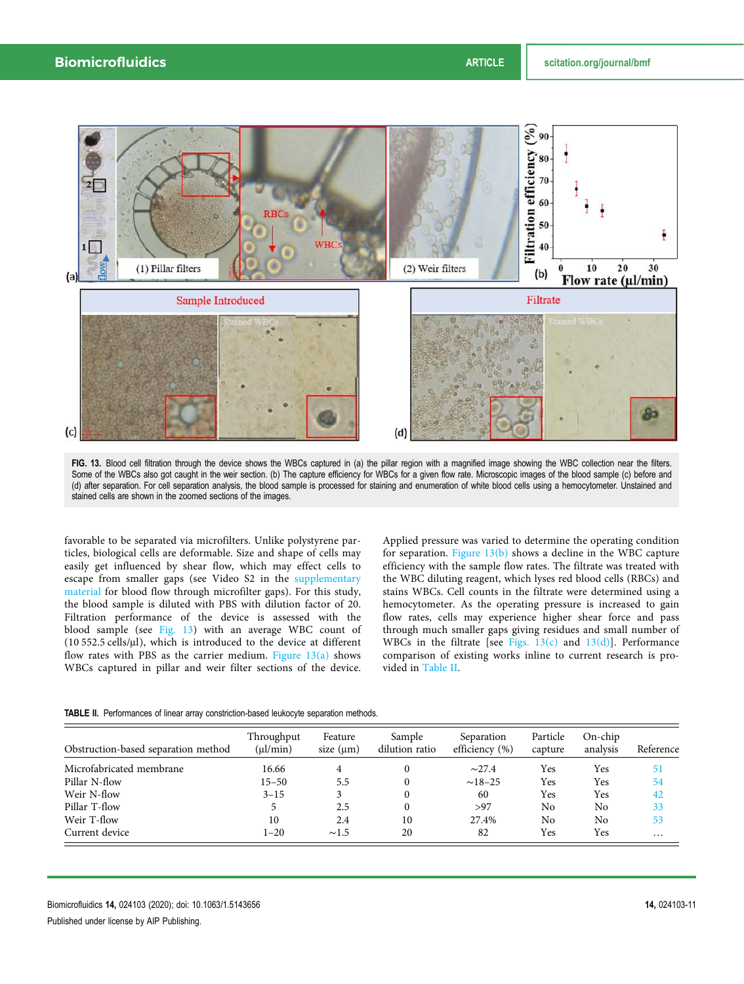

FIG. 13. Blood cell filtration through the device shows the WBCs captured in (a) the pillar region with a magnified image showing the WBC collection near the filters. Some of the WBCs also got caught in the weir section. (b) The capture efficiency for WBCs for a given flow rate. Microscopic images of the blood sample (c) before and (d) after separation. For cell separation analysis, the blood sample is processed for staining and enumeration of white blood cells using a hemocytometer. Unstained and stained cells are shown in the zoomed sections of the images.

favorable to be separated via microfilters. Unlike polystyrene particles, biological cells are deformable. Size and shape of cells may easily get influenced by shear flow, which may effect cells to escape from smaller gaps (see Video S2 in the supplementary material for blood flow through microfilter gaps). For this study, the blood sample is diluted with PBS with dilution factor of 20. Filtration performance of the device is assessed with the blood sample (see Fig. 13) with an average WBC count of (10 552.5 cells/μl), which is introduced to the device at different flow rates with PBS as the carrier medium. Figure  $13(a)$  shows WBCs captured in pillar and weir filter sections of the device.

Applied pressure was varied to determine the operating condition for separation. Figure  $13(b)$  shows a decline in the WBC capture efficiency with the sample flow rates. The filtrate was treated with the WBC diluting reagent, which lyses red blood cells (RBCs) and stains WBCs. Cell counts in the filtrate were determined using a hemocytometer. As the operating pressure is increased to gain flow rates, cells may experience higher shear force and pass through much smaller gaps giving residues and small number of WBCs in the filtrate [see Figs.  $13(c)$  and  $13(d)$ ]. Performance comparison of existing works inline to current research is provided in Table II.

|  |  |  | <b>TABLE II.</b> Performances of linear array constriction-based leukocyte separation methods. |  |  |  |
|--|--|--|------------------------------------------------------------------------------------------------|--|--|--|
|--|--|--|------------------------------------------------------------------------------------------------|--|--|--|

| Obstruction-based separation method | Throughput<br>$(\mu l/min)$ | Feature<br>size $(\mu m)$ | Sample<br>dilution ratio | Separation<br>efficiency (%) | Particle<br>capture | $On$ -chip<br>analysis | Reference |
|-------------------------------------|-----------------------------|---------------------------|--------------------------|------------------------------|---------------------|------------------------|-----------|
| Microfabricated membrane            | 16.66                       | 4                         |                          | $\sim$ 27.4                  | Yes                 | Yes                    | 51        |
| Pillar N-flow                       | $15 - 50$                   | 5.5                       | 0                        | $~18 - 25$                   | Yes                 | Yes                    | 54        |
| Weir N-flow                         | $3 - 15$                    |                           | 0                        | 60                           | Yes                 | Yes                    | 42        |
| Pillar T-flow                       |                             | 2.5                       | 0                        | >97                          | No                  | No                     | 33        |
| Weir T-flow                         | 10                          | 2.4                       | 10                       | 27.4%                        | No                  | No                     | 53        |
| Current device                      | $1 - 20$                    | $\sim$ 1.5                | 20                       | 82                           | Yes                 | Yes                    | $\cdots$  |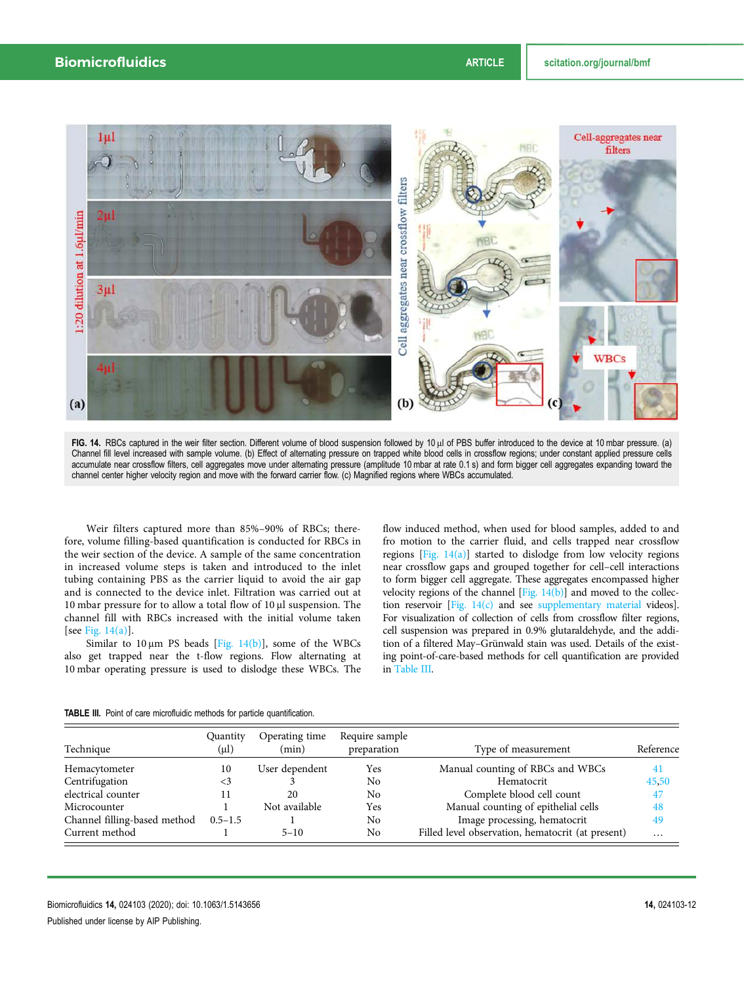

FIG. 14. RBCs captured in the weir filter section. Different volume of blood suspension followed by 10 μl of PBS buffer introduced to the device at 10 mbar pressure. (a) Channel fill level increased with sample volume. (b) Effect of alternating pressure on trapped white blood cells in crossflow regions; under constant applied pressure cells accumulate near crossflow filters, cell aggregates move under alternating pressure (amplitude 10 mbar at rate 0.1 s) and form bigger cell aggregates expanding toward the channel center higher velocity region and move with the forward carrier flow. (c) Magnified regions where WBCs accumulated.

Weir filters captured more than 85%–90% of RBCs; therefore, volume filling-based quantification is conducted for RBCs in the weir section of the device. A sample of the same concentration in increased volume steps is taken and introduced to the inlet tubing containing PBS as the carrier liquid to avoid the air gap and is connected to the device inlet. Filtration was carried out at 10 mbar pressure for to allow a total flow of 10 μl suspension. The channel fill with RBCs increased with the initial volume taken [see Fig. 14(a)].

Similar to  $10 \mu m$  PS beads [Fig. 14(b)], some of the WBCs also get trapped near the t-flow regions. Flow alternating at 10 mbar operating pressure is used to dislodge these WBCs. The flow induced method, when used for blood samples, added to and fro motion to the carrier fluid, and cells trapped near crossflow regions [Fig.  $14(a)$ ] started to dislodge from low velocity regions near crossflow gaps and grouped together for cell–cell interactions to form bigger cell aggregate. These aggregates encompassed higher velocity regions of the channel  $[Fig. 14(b)]$  and moved to the collection reservoir [Fig. 14(c) and see supplementary material videos]. For visualization of collection of cells from crossflow filter regions, cell suspension was prepared in 0.9% glutaraldehyde, and the addition of a filtered May–Grünwald stain was used. Details of the existing point-of-care-based methods for cell quantification are provided in Table III.

| Technique                    | Quantity<br>(µl) | Operating time<br>(min) | Require sample<br>preparation | Type of measurement                               | Reference |
|------------------------------|------------------|-------------------------|-------------------------------|---------------------------------------------------|-----------|
| Hemacytometer                | 10               | User dependent          | Yes                           | Manual counting of RBCs and WBCs                  | 41        |
| Centrifugation               | <3               |                         | No                            | Hematocrit                                        | 45,50     |
| electrical counter           |                  | 20                      | No                            | Complete blood cell count                         | 47        |
| Microcounter                 |                  | Not available           | Yes                           | Manual counting of epithelial cells               | 48        |
| Channel filling-based method | $0.5 - 1.5$      |                         | No                            | Image processing, hematocrit                      | 49        |
| Current method               |                  | $5 - 10$                | No                            | Filled level observation, hematocrit (at present) | $\cdots$  |

TABLE III. Point of care microfluidic methods for particle quantification.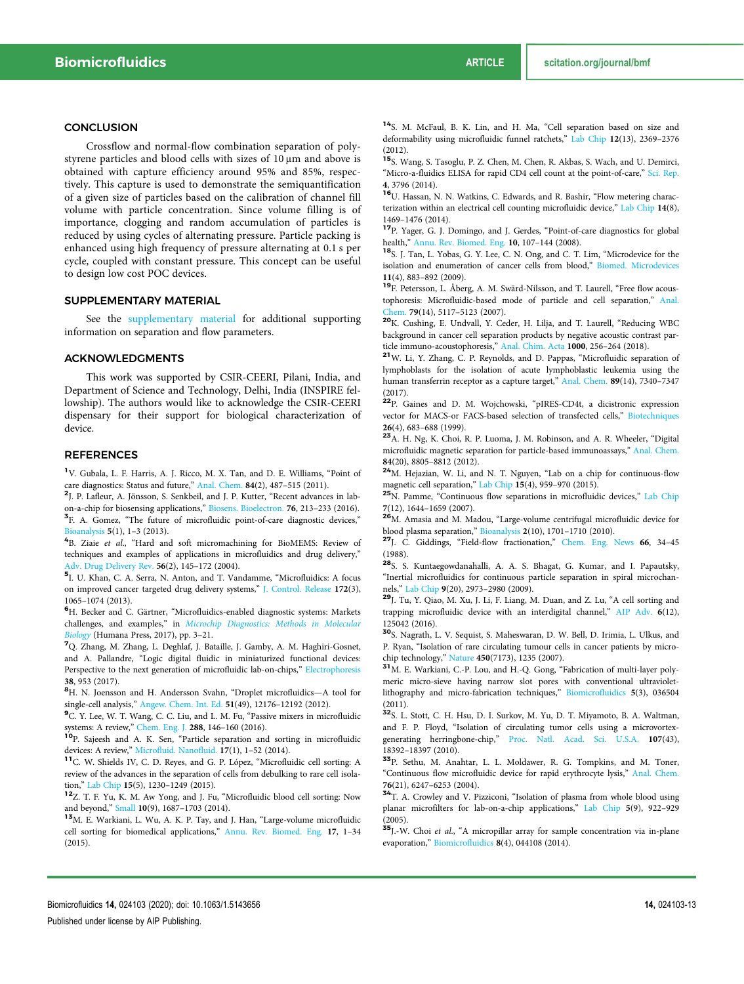#### **CONCLUSION**

Crossflow and normal-flow combination separation of polystyrene particles and blood cells with sizes of 10 μm and above is obtained with capture efficiency around 95% and 85%, respectively. This capture is used to demonstrate the semiquantification of a given size of particles based on the calibration of channel fill volume with particle concentration. Since volume filling is of importance, clogging and random accumulation of particles is reduced by using cycles of alternating pressure. Particle packing is enhanced using high frequency of pressure alternating at 0.1 s per cycle, coupled with constant pressure. This concept can be useful to design low cost POC devices.

#### SUPPLEMENTARY MATERIAL

See the supplementary material for additional supporting information on separation and flow parameters.

#### ACKNOWLEDGMENTS

This work was supported by CSIR-CEERI, Pilani, India, and Department of Science and Technology, Delhi, India (INSPIRE fellowship). The authors would like to acknowledge the CSIR-CEERI dispensary for their support for biological characterization of device.

#### **REFERENCES**

<sup>1</sup>V. Gubala, L. F. Harris, A. J. Ricco, M. X. Tan, and D. E. Williams, "Point of care diagnostics: Status and future," Anal. Chem. 84(2), 487-515 (2011).

2 J. P. Lafleur, A. Jönsson, S. Senkbeil, and J. P. Kutter, "Recent advances in labon-a-chip for biosensing applications," Biosens. Bioelectron. 76, 213–233 (2016). <sup>3</sup>F. A. Gomez, "The future of microfluidic point-of-care diagnostic devices," Bioanalysis 5(1), 1–3 (2013).

4 B. Ziaie *et al*., "Hard and soft micromachining for BioMEMS: Review of techniques and examples of applications in microfluidics and drug delivery," Adv. Drug Delivery Rev. 56(2), 145–172 (2004).

5 I. U. Khan, C. A. Serra, N. Anton, and T. Vandamme, "Microfluidics: A focus on improved cancer targeted drug delivery systems," J. Control. Release 172(3), 1065–1074 (2013).

<sup>6</sup>H. Becker and C. Gärtner, "Microfluidics-enabled diagnostic systems: Markets challenges, and examples," in *Microchip Diagnostics: Methods in Molecular Biology* (Humana Press, 2017), pp. 3–21.

<sup>7</sup>Q. Zhang, M. Zhang, L. Deghlaf, J. Bataille, J. Gamby, A. M. Haghiri-Gosnet, and A. Pallandre, "Logic digital fluidic in miniaturized functional devices: Perspective to the next generation of microfluidic lab-on-chips," Electrophoresis 38, 953 (2017).

<sup>8</sup>H. N. Joensson and H. Andersson Svahn, "Droplet microfluidics—A tool for single-cell analysis," Angew. Chem. Int. Ed. 51(49), 12176-12192 (2012).

<sup>9</sup>C. Y. Lee, W. T. Wang, C. C. Liu, and L. M. Fu, "Passive mixers in microfluidic systems: A review," Chem. Eng. J. 288, 146-160 (2016).

<sup>10</sup>P. Sajeesh and A. K. Sen, "Particle separation and sorting in microfluidic devices: A review," Microfluid. Nanofluid. 17(1), 1-52 (2014).

<sup>11</sup>C. W. Shields IV, C. D. Reyes, and G. P. López, "Microfluidic cell sorting: A review of the advances in the separation of cells from debulking to rare cell isolation," Lab Chip 15(5), 1230–1249 (2015).

<sup>12</sup>Z. T. F. Yu, K. M. Aw Yong, and J. Fu, "Microfluidic blood cell sorting: Now and beyond," Small 10(9), 1687-1703 (2014).

<sup>13</sup>M. E. Warkiani, L. Wu, A. K. P. Tay, and J. Han, "Large-volume microfluidic cell sorting for biomedical applications," Annu. Rev. Biomed. Eng. 17, 1–34 (2015).

<sup>14</sup>S. M. McFaul, B. K. Lin, and H. Ma, "Cell separation based on size and deformability using microfluidic funnel ratchets," Lab Chip 12(13), 2369–2376 (2012).

<sup>15</sup>S. Wang, S. Tasoglu, P. Z. Chen, M. Chen, R. Akbas, S. Wach, and U. Demirci, "Micro-a-fluidics ELISA for rapid CD4 cell count at the point-of-care," Sci. Rep. 4, 3796 (2014).

<sup>16</sup>U. Hassan, N. N. Watkins, C. Edwards, and R. Bashir, "Flow metering characterization within an electrical cell counting microfluidic device," Lab Chip 14(8), 1469–1476 (2014).

<sup>17</sup>P. Yager, G. J. Domingo, and J. Gerdes, "Point-of-care diagnostics for global health," Annu. Rev. Biomed. Eng. 10, 107–144 (2008).

<sup>18</sup>S. J. Tan, L. Yobas, G. Y. Lee, C. N. Ong, and C. T. Lim, "Microdevice for the isolation and enumeration of cancer cells from blood," Biomed. Microdevices 11(4), 883–892 (2009).

<sup>19</sup>F. Petersson, L. Åberg, A. M. Swärd-Nilsson, and T. Laurell, "Free flow acoustophoresis: Microfluidic-based mode of particle and cell separation," Anal. Chem. 79(14), 5117–5123 (2007).

<sup>20</sup>K. Cushing, E. Undvall, Y. Ceder, H. Lilja, and T. Laurell, "Reducing WBC background in cancer cell separation products by negative acoustic contrast particle immuno-acoustophoresis," Anal. Chim. Acta 1000, 256–264 (2018).

<sup>21</sup>W. Li, Y. Zhang, C. P. Reynolds, and D. Pappas, "Microfluidic separation of lymphoblasts for the isolation of acute lymphoblastic leukemia using the human transferrin receptor as a capture target," Anal. Chem. 89(14), 7340-7347 (2017).

<sup>22</sup>P. Gaines and D. M. Wojchowski, "pIRES-CD4t, a dicistronic expression vector for MACS-or FACS-based selection of transfected cells," Biotechniques 26(4), 683–688 (1999).

<sup>23</sup>A. H. Ng, K. Choi, R. P. Luoma, J. M. Robinson, and A. R. Wheeler, "Digital microfluidic magnetic separation for particle-based immunoassays," Anal. Chem. 84(20), 8805–8812 (2012).

<sup>24</sup>M. Hejazian, W. Li, and N. T. Nguyen, "Lab on a chip for continuous-flow magnetic cell separation," Lab Chip 15(4), 959–970 (2015).

<sup>25</sup>N. Pamme, "Continuous flow separations in microfluidic devices," Lab Chip 7(12), 1644–1659 (2007).

<sup>26</sup>M. Amasia and M. Madou, "Large-volume centrifugal microfluidic device for blood plasma separation," Bioanalysis 2(10), 1701–1710 (2010).

<sup>27</sup>J. C. Giddings, "Field-flow fractionation," Chem. Eng. News 66, 34–45 (1988).

<sup>28</sup>S. S. Kuntaegowdanahalli, A. A. S. Bhagat, G. Kumar, and I. Papautsky, "Inertial microfluidics for continuous particle separation in spiral microchannels," Lab Chip 9(20), 2973–2980 (2009).

<sup>29</sup>J. Tu, Y. Qiao, M. Xu, J. Li, F. Liang, M. Duan, and Z. Lu, "A cell sorting and trapping microfluidic device with an interdigital channel," AIP Adv. 6(12), 125042 (2016).

<sup>30</sup>S. Nagrath, L. V. Sequist, S. Maheswaran, D. W. Bell, D. Irimia, L. Ulkus, and P. Ryan, "Isolation of rare circulating tumour cells in cancer patients by microchip technology," Nature 450(7173), 1235 (2007).

<sup>31</sup>M. E. Warkiani, C.-P. Lou, and H.-Q. Gong, "Fabrication of multi-layer polymeric micro-sieve having narrow slot pores with conventional ultravioletlithography and micro-fabrication techniques," Biomicrofluidics 5(3), 036504 (2011).

<sup>32</sup>S. L. Stott, C. H. Hsu, D. I. Surkov, M. Yu, D. T. Miyamoto, B. A. Waltman, and F. P. Floyd, "Isolation of circulating tumor cells using a microvortexgenerating herringbone-chip," Proc. Natl. Acad. Sci. U.S.A. 107(43), 18392–18397 (2010).

<sup>33</sup>P. Sethu, M. Anahtar, L. L. Moldawer, R. G. Tompkins, and M. Toner, "Continuous flow microfluidic device for rapid erythrocyte lysis," Anal. Chem. 76(21), 6247–6253 (2004).

<sup>34</sup>T. A. Crowley and V. Pizziconi, "Isolation of plasma from whole blood using planar microfilters for lab-on-a-chip applications," Lab Chip 5(9), 922–929 (2005).

<sup>35</sup>J.-W. Choi *et al*., "A micropillar array for sample concentration via in-plane evaporation," Biomicrofluidics 8(4), 044108 (2014).